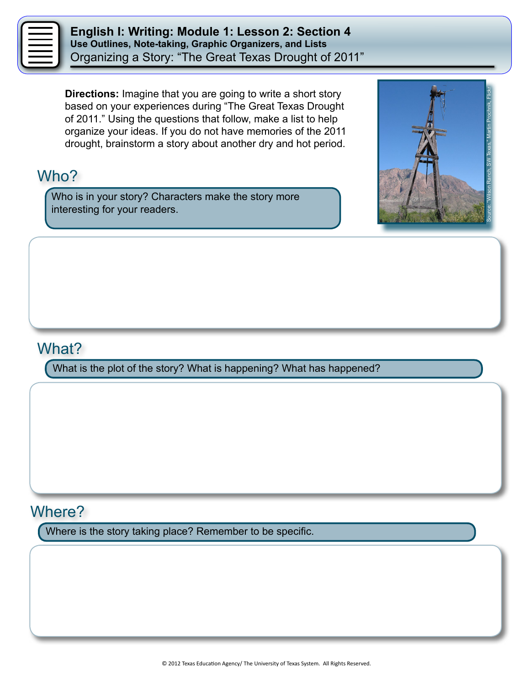**English I: Writing: Module 1: Lesson 2: Section 4 Use Outlines, Note-taking, Graphic Organizers, and Lists** Organizing a Story: "The Great Texas Drought of 2011"

**Directions:** Imagine that you are going to write a short story based on your experiences during "The Great Texas Drought of 2011." Using the questions that follow, make a list to help organize your ideas. If you do not have memories of the 2011 drought, brainstorm a story about another dry and hot period.

## Who?

Who is in your story? Characters make the story more interesting for your readers.



### What?

What is the plot of the story? What is happening? What has happened?

## Where?

Where is the story taking place? Remember to be specific.